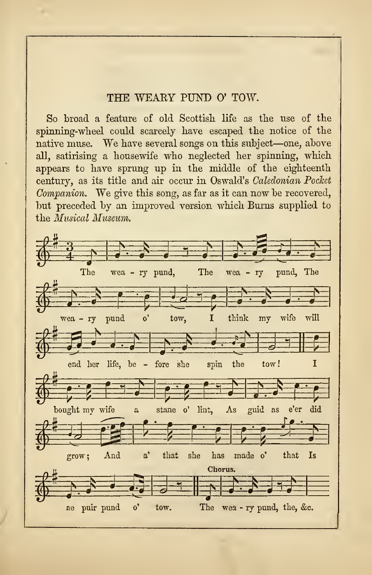## THE WEAKY PUND O'TOW.

So broad a feature of old Scottish life as the use of the spinning-wheel could scarcely have escaped the notice of the native muse. We have several songs on this subject—one, above all, satirising a housewife who neglected her spinning, which appears to have sprung up in the middle of the eighteenth century, as its title and air occur in Oswald's Caledonian Pocket Companion. We give this song, as far as it can now be recovered, but preceded by an improved version which Burns supplied to the Musical Museum.

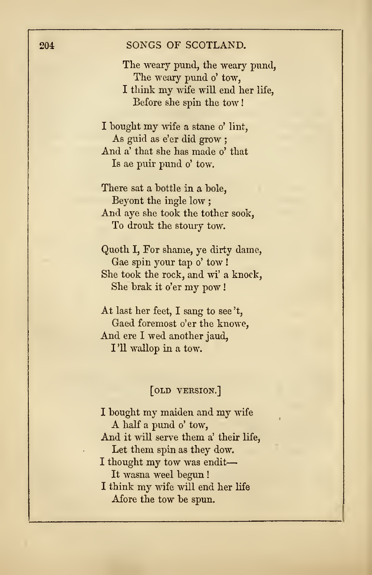## 204 SONGS OF SCOTLAND.

The weary pund, the weary pund, The weary pund o' tow, <sup>I</sup> think my wife will end her life, Before she spin the tow

<sup>I</sup> bought my wife <sup>a</sup> stane o' lint, As guid as e'er did grow ; And a' that she has made o'that Is ae puir pund o' tow.

There sat a bottle in a bole, Beyont the ingle low ; And aye she took the tother sook, To drouk the stoury tow.

Quoth I,For shame, ye dirty dame, Gae spin your tap o' tow ! She took the rock, and wi' a knock, She brak it o'er my pow !

At last her feet, <sup>I</sup> sang to see 't, Gaed foremost o'er the knowe, And ere <sup>I</sup> wed another jaud, I'll wallop in a tow.

## [old version.]

<sup>I</sup> bought my maiden and my wife <sup>A</sup> half <sup>a</sup> pund o' tow, And it will serve them a' their life, Let them spin as they dow. <sup>I</sup> thought my tow was endit It wasna weel begun ! <sup>I</sup> think my wife will end her life Afore the tow be spun.